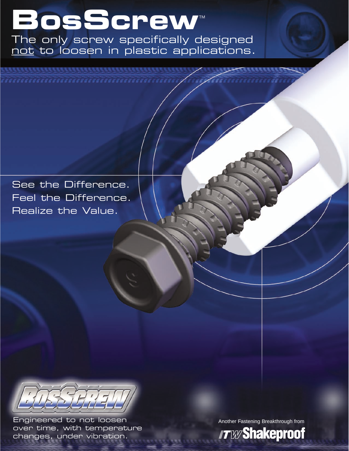# **BosScrew**™

The only screw specifically designed not to loosen in plastic applications.

See the Difference. Feel the Difference. Realize the Value.



Engineered to not loosen over time, with temperature changes, under vibration.

Another Fastening Breakthrough from

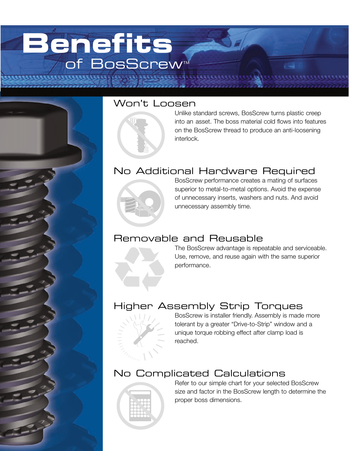## **Benefits** of BosScrew



### Won't Loosen



Unlike standard screws, BosScrew turns plastic creep into an asset. The boss material cold flows into features on the BosScrew thread to produce an anti-loosening interlock.

## No Additional Hardware Required



BosScrew performance creates a mating of surfaces superior to metal-to-metal options. Avoid the expense of unnecessary inserts, washers and nuts. And avoid unnecessary assembly time.

### Removable and Reusable

The BosScrew advantage is repeatable and serviceable. Use, remove, and reuse again with the same superior performance.

## Higher Assembly Strip Torques



BosScrew is installer friendly. Assembly is made more tolerant by a greater "Drive-to-Strip" window and a unique torque robbing effect after clamp load is reached.

## No Complicated Calculations



Refer to our simple chart for your selected BosScrew size and factor in the BosScrew length to determine the proper boss dimensions.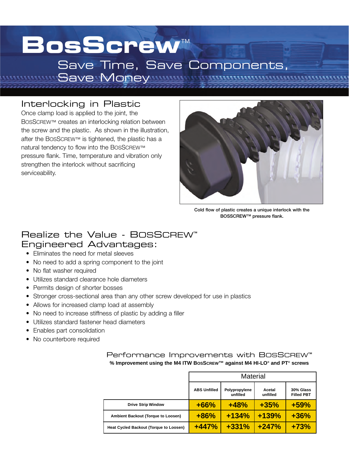## **BosScrew**™ Save Time, Save Components,

### Interlocking in Plastic

Once clamp load is applied to the joint, the BOSSCREW™ creates an interlocking relation between the screw and the plastic. As shown in the illustration, after the BOSSCREW™ is tightened, the plastic has a natural tendency to flow into the BOSSCREW™ pressure flank. Time, temperature and vibration only strengthen the interlock without sacrificing serviceability.

Save Money



**Cold flow of plastic creates a unique interlock with the BOSSCREW™ pressure flank.**

#### Realize the Value - BOSSCREW™ Engineered Advantages:

- Eliminates the need for metal sleeves
- No need to add a spring component to the joint
- No flat washer required
- Utilizes standard clearance hole diameters
- Permits design of shorter bosses
- Stronger cross-sectional area than any other screw developed for use in plastics
- Allows for increased clamp load at assembly
- No need to increase stiffness of plastic by adding a filler
- Utilizes standard fastener head diameters
- Enables part consolidation
- No counterbore required

|                                        | <b>Material</b>     |                           |                    |                                |
|----------------------------------------|---------------------|---------------------------|--------------------|--------------------------------|
|                                        | <b>ABS Unfilled</b> | Polypropylene<br>unfilled | Acetal<br>unfilled | 30% Glass<br><b>Filled PBT</b> |
| <b>Drive Strip Window</b>              | $+66%$              | $+48%$                    | $+35%$             | $+59%$                         |
| Ambient Backout (Torque to Loosen)     | $+86%$              | $+134%$                   | $+139%$            | $+36%$                         |
| Heat Cycled Backout (Torque to Loosen) | $+447%$             | $+331%$                   | $+247%$            | $+73%$                         |

#### Performance Improvements with BOSSCREW™ **% Improvement using the M4 ITW BOSSCREW™ against M4 HI-LO® and PT® screws**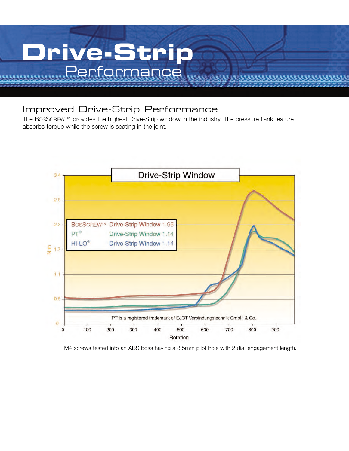

### Improved Drive-Strip Performance

The BOSSCREW™ provides the highest Drive-Strip window in the industry. The pressure flank feature absorbs torque while the screw is seating in the joint.



M4 screws tested into an ABS boss having a 3.5mm pilot hole with 2 dia. engagement length.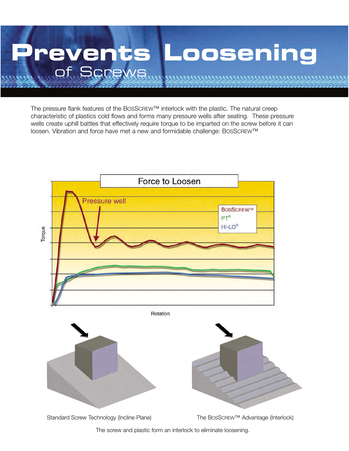

The pressure flank features of the BOSSCREW™ interlock with the plastic. The natural creep characteristic of plastics cold flows and forms many pressure wells after seating. These pressure wells create uphill battles that effectively require torque to be imparted on the screw before it can loosen. Vibration and force have met a new and formidable challenge: BOSSCREW™



The screw and plastic form an interlock to eliminate loosening.